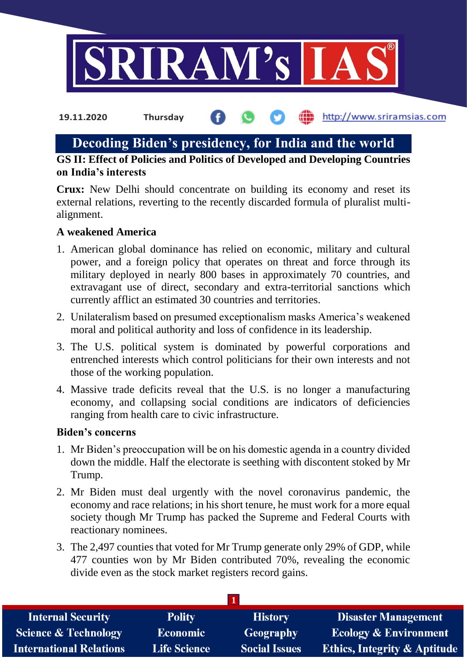

the http://www.sriramsias.com **19.11.2020 Thursday**

# **Decoding Biden's presidency, for India and the world**

**GS II: Effect of Policies and Politics of Developed and Developing Countries on India's interests**

**Crux:** New Delhi should concentrate on building its economy and reset its external relations, reverting to the recently discarded formula of pluralist multialignment.

### **A weakened America**

- 1. American global dominance has relied on economic, military and cultural power, and a foreign policy that operates on threat and force through its military deployed in nearly 800 bases in approximately 70 countries, and extravagant use of direct, secondary and extra-territorial sanctions which currently afflict an estimated 30 countries and territories.
- 2. Unilateralism based on presumed exceptionalism masks America's weakened moral and political authority and loss of confidence in its leadership.
- 3. The U.S. political system is dominated by powerful corporations and entrenched interests which control politicians for their own interests and not those of the working population.
- 4. Massive trade deficits reveal that the U.S. is no longer a manufacturing economy, and collapsing social conditions are indicators of deficiencies ranging from health care to civic infrastructure.

### **Biden's concerns**

- 1. Mr Biden's preoccupation will be on his domestic agenda in a country divided down the middle. Half the electorate is seething with discontent stoked by Mr Trump.
- 2. Mr Biden must deal urgently with the novel coronavirus pandemic, the economy and race relations; in his short tenure, he must work for a more equal society though Mr Trump has packed the Supreme and Federal Courts with reactionary nominees.
- 3. The 2,497 counties that voted for Mr Trump generate only 29% of GDP, while 477 counties won by Mr Biden contributed 70%, revealing the economic divide even as the stock market registers record gains.

| <b>Polity</b>       | <b>History</b>       | <b>Disaster Management</b>              |  |  |
|---------------------|----------------------|-----------------------------------------|--|--|
| <b>Economic</b>     | Geography            | <b>Ecology &amp; Environment</b>        |  |  |
| <b>Life Science</b> | <b>Social Issues</b> | <b>Ethics, Integrity &amp; Aptitude</b> |  |  |
|                     |                      |                                         |  |  |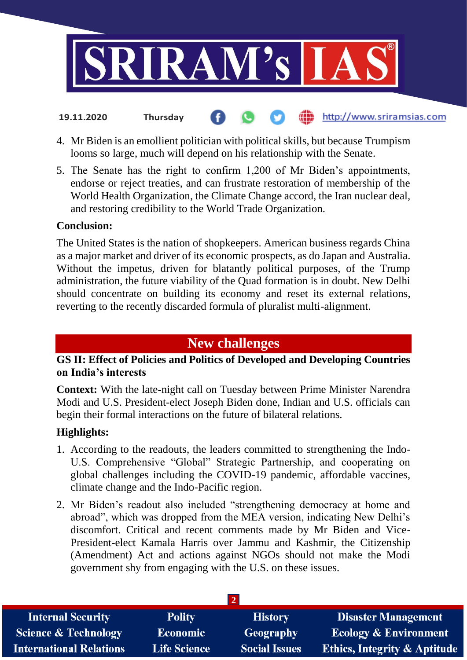

- **fin** http://www.sriramsias.com **19.11.2020 Thursday**
- 4. Mr Biden is an emollient politician with political skills, but because Trumpism looms so large, much will depend on his relationship with the Senate.
- 5. The Senate has the right to confirm 1,200 of Mr Biden's appointments, endorse or reject treaties, and can frustrate restoration of membership of the World Health Organization, the Climate Change accord, the Iran nuclear deal, and restoring credibility to the World Trade Organization.

#### **Conclusion:**

The United States is the nation of shopkeepers. American business regards China as a major market and driver of its economic prospects, as do Japan and Australia. Without the impetus, driven for blatantly political purposes, of the Trump administration, the future viability of the Quad formation is in doubt. New Delhi should concentrate on building its economy and reset its external relations, reverting to the recently discarded formula of pluralist multi-alignment.

# **New challenges**

## **GS II: Effect of Policies and Politics of Developed and Developing Countries on India's interests**

**Context:** With the late-night call on Tuesday between Prime Minister Narendra Modi and U.S. President-elect Joseph Biden done, Indian and U.S. officials can begin their formal interactions on the future of bilateral relations.

### **Highlights:**

- 1. According to the readouts, the leaders committed to strengthening the Indo-U.S. Comprehensive "Global" Strategic Partnership, and cooperating on global challenges including the COVID-19 pandemic, affordable vaccines, climate change and the Indo-Pacific region.
- 2. Mr Biden's readout also included "strengthening democracy at home and abroad", which was dropped from the MEA version, indicating New Delhi's discomfort. Critical and recent comments made by Mr Biden and Vice-President-elect Kamala Harris over Jammu and Kashmir, the Citizenship (Amendment) Act and actions against NGOs should not make the Modi government shy from engaging with the U.S. on these issues.

| <b>Internal Security</b>        | <b>Polity</b>       | <b>History</b>       | Disaster Management                     |  |
|---------------------------------|---------------------|----------------------|-----------------------------------------|--|
| <b>Science &amp; Technology</b> | Economic            | Geography            | <b>Ecology &amp; Environment</b>        |  |
| <b>International Relations</b>  | <b>Life Science</b> | <b>Social Issues</b> | <b>Ethics, Integrity &amp; Aptitude</b> |  |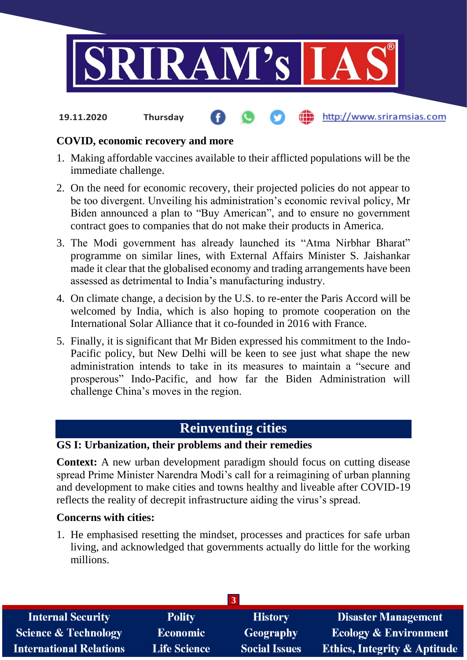

**19.11.2020 Thursday**

## http://www.sriramsias.com

# **COVID, economic recovery and more**

- 1. Making affordable vaccines available to their afflicted populations will be the immediate challenge.
- 2. On the need for economic recovery, their projected policies do not appear to be too divergent. Unveiling his administration's economic revival policy, Mr Biden announced a plan to "Buy American", and to ensure no government contract goes to companies that do not make their products in America.
- 3. The Modi government has already launched its "Atma Nirbhar Bharat" programme on similar lines, with External Affairs Minister S. Jaishankar made it clear that the globalised economy and trading arrangements have been assessed as detrimental to India's manufacturing industry.
- 4. On climate change, a decision by the U.S. to re-enter the Paris Accord will be welcomed by India, which is also hoping to promote cooperation on the International Solar Alliance that it co-founded in 2016 with France.
- 5. Finally, it is significant that Mr Biden expressed his commitment to the Indo-Pacific policy, but New Delhi will be keen to see just what shape the new administration intends to take in its measures to maintain a "secure and prosperous" Indo-Pacific, and how far the Biden Administration will challenge China's moves in the region.

# **Reinventing cities**

# **GS I: Urbanization, their problems and their remedies**

**Context:** A new urban development paradigm should focus on cutting disease spread Prime Minister Narendra Modi's call for a reimagining of urban planning and development to make cities and towns healthy and liveable after COVID-19 reflects the reality of decrepit infrastructure aiding the virus's spread.

# **Concerns with cities:**

1. He emphasised resetting the mindset, processes and practices for safe urban living, and acknowledged that governments actually do little for the working millions.

| <b>Internal Security</b>        | <b>Polity</b>       | <b>History</b>       | <b>Disaster Management</b>              |  |
|---------------------------------|---------------------|----------------------|-----------------------------------------|--|
| <b>Science &amp; Technology</b> | <b>Economic</b>     | Geography            | <b>Ecology &amp; Environment</b>        |  |
| <b>International Relations</b>  | <b>Life Science</b> | <b>Social Issues</b> | <b>Ethics, Integrity &amp; Aptitude</b> |  |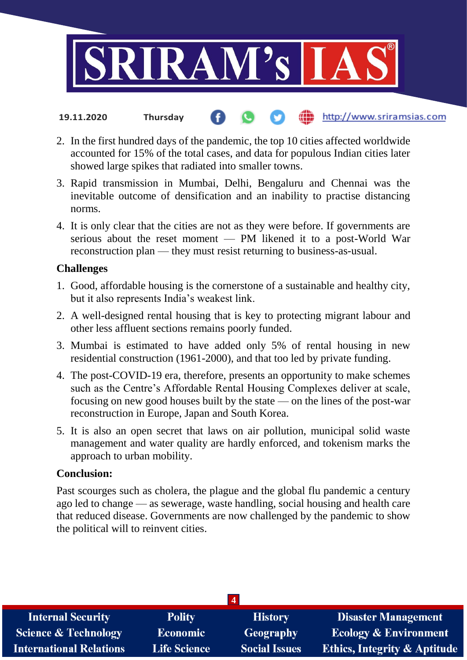

- http://www.sriramsias.com **19.11.2020 Thursday**
- 2. In the first hundred days of the pandemic, the top 10 cities affected worldwide accounted for 15% of the total cases, and data for populous Indian cities later showed large spikes that radiated into smaller towns.
- 3. Rapid transmission in Mumbai, Delhi, Bengaluru and Chennai was the inevitable outcome of densification and an inability to practise distancing norms.
- 4. It is only clear that the cities are not as they were before. If governments are serious about the reset moment — PM likened it to a post-World War reconstruction plan — they must resist returning to business-as-usual.

### **Challenges**

- 1. Good, affordable housing is the cornerstone of a sustainable and healthy city, but it also represents India's weakest link.
- 2. A well-designed rental housing that is key to protecting migrant labour and other less affluent sections remains poorly funded.
- 3. Mumbai is estimated to have added only 5% of rental housing in new residential construction (1961-2000), and that too led by private funding.
- 4. The post-COVID-19 era, therefore, presents an opportunity to make schemes such as the Centre's Affordable Rental Housing Complexes deliver at scale, focusing on new good houses built by the state — on the lines of the post-war reconstruction in Europe, Japan and South Korea.
- 5. It is also an open secret that laws on air pollution, municipal solid waste management and water quality are hardly enforced, and tokenism marks the approach to urban mobility.

### **Conclusion:**

Past scourges such as cholera, the plague and the global flu pandemic a century ago led to change — as sewerage, waste handling, social housing and health care that reduced disease. Governments are now challenged by the pandemic to show the political will to reinvent cities.

| $\overline{4}$                  |                     |                      |                                         |  |
|---------------------------------|---------------------|----------------------|-----------------------------------------|--|
| <b>Internal Security</b>        | <b>Polity</b>       | <b>History</b>       | <b>Disaster Management</b>              |  |
| <b>Science &amp; Technology</b> | Economic            | Geography            | <b>Ecology &amp; Environment</b>        |  |
| <b>International Relations</b>  | <b>Life Science</b> | <b>Social Issues</b> | <b>Ethics, Integrity &amp; Aptitude</b> |  |